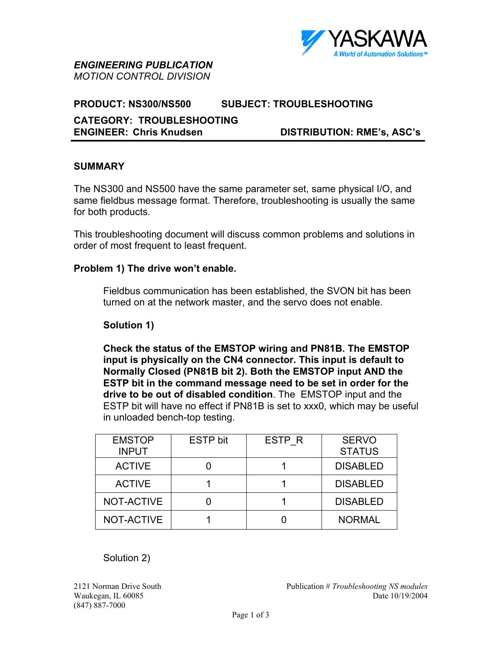

*ENGINEERING PUBLICATION MOTION CONTROL DIVISION*

### **PRODUCT: NS300/NS500 SUBJECT: TROUBLESHOOTING**

### **CATEGORY: TROUBLESHOOTING ENGINEER: Chris Knudsen DISTRIBUTION: RME's, ASC's**

# **SUMMARY**

֖֚֚֚֬

The NS300 and NS500 have the same parameter set, same physical I/O, and same fieldbus message format. Therefore, troubleshooting is usually the same for both products.

This troubleshooting document will discuss common problems and solutions in order of most frequent to least frequent.

### **Problem 1) The drive won't enable.**

Fieldbus communication has been established, the SVON bit has been turned on at the network master, and the servo does not enable.

#### **Solution 1)**

**Check the status of the EMSTOP wiring and PN81B. The EMSTOP input is physically on the CN4 connector. This input is default to Normally Closed (PN81B bit 2). Both the EMSTOP input AND the ESTP bit in the command message need to be set in order for the drive to be out of disabled condition**. The EMSTOP input and the ESTP bit will have no effect if PN81B is set to xxx0, which may be useful in unloaded bench-top testing.

| <b>EMSTOP</b> | <b>ESTP</b> bit | ESTP R | <b>SERVO</b>    |
|---------------|-----------------|--------|-----------------|
| <b>INPUT</b>  |                 |        | <b>STATUS</b>   |
| <b>ACTIVE</b> |                 |        | <b>DISABLED</b> |
| <b>ACTIVE</b> |                 |        | <b>DISABLED</b> |
| NOT-ACTIVE    |                 |        | <b>DISABLED</b> |
| NOT-ACTIVE    |                 |        | <b>NORMAL</b>   |

Solution 2)

(847) 887-7000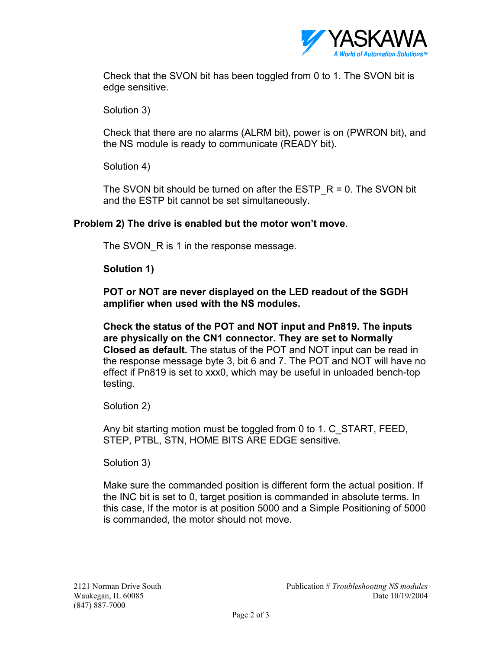

Check that the SVON bit has been toggled from 0 to 1. The SVON bit is edge sensitive.

Solution 3)

Check that there are no alarms (ALRM bit), power is on (PWRON bit), and the NS module is ready to communicate (READY bit).

Solution 4)

The SVON bit should be turned on after the ESTP  $R = 0$ . The SVON bit and the ESTP bit cannot be set simultaneously.

# **Problem 2) The drive is enabled but the motor won't move**.

The SVON R is 1 in the response message.

**Solution 1)** 

**POT or NOT are never displayed on the LED readout of the SGDH amplifier when used with the NS modules.** 

**Check the status of the POT and NOT input and Pn819. The inputs are physically on the CN1 connector. They are set to Normally Closed as default.** The status of the POT and NOT input can be read in the response message byte 3, bit 6 and 7. The POT and NOT will have no effect if Pn819 is set to xxx0, which may be useful in unloaded bench-top testing.

Solution 2)

Any bit starting motion must be toggled from 0 to 1. C\_START, FEED, STEP, PTBL, STN, HOME BITS ARE EDGE sensitive.

Solution 3)

Make sure the commanded position is different form the actual position. If the INC bit is set to 0, target position is commanded in absolute terms. In this case, If the motor is at position 5000 and a Simple Positioning of 5000 is commanded, the motor should not move.